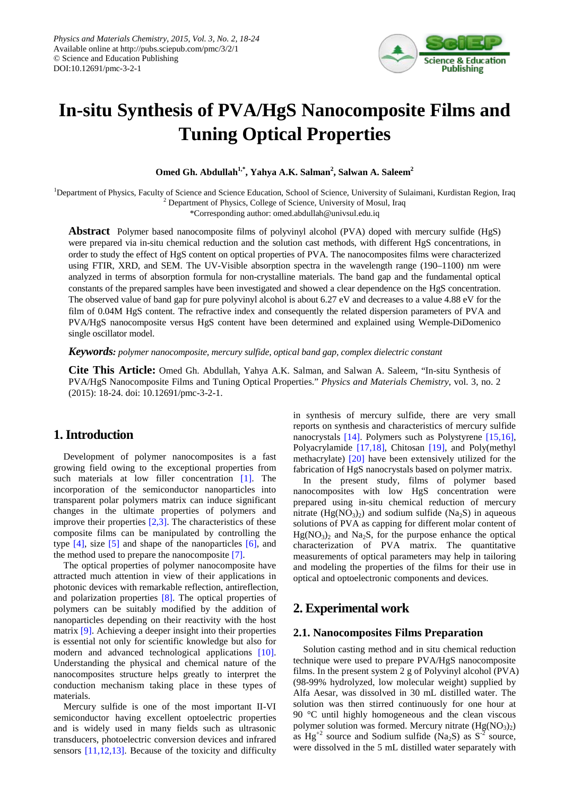

# **In-situ Synthesis of PVA/HgS Nanocomposite Films and Tuning Optical Properties**

**Omed Gh. Abdullah<sup>1,\*</sup>, Yahya A.K. Salman<sup>2</sup>, Salwan A. Saleem<sup>2</sup>** 

<sup>1</sup>Department of Physics, Faculty of Science and Science Education, School of Science, University of Sulaimani, Kurdistan Region, Iraq  $2$  Department of Physics, College of Science, University of Mosul, Iraq

\*Corresponding author: omed.abdullah@univsul.edu.iq

**Abstract** Polymer based nanocomposite films of polyvinyl alcohol (PVA) doped with mercury sulfide (HgS) were prepared via in-situ chemical reduction and the solution cast methods, with different HgS concentrations, in order to study the effect of HgS content on optical properties of PVA. The nanocomposites films were characterized using FTIR, XRD, and SEM. The UV-Visible absorption spectra in the wavelength range (190–1100) nm were analyzed in terms of absorption formula for non-crystalline materials. The band gap and the fundamental optical constants of the prepared samples have been investigated and showed a clear dependence on the HgS concentration. The observed value of band gap for pure polyvinyl alcohol is about 6.27 eV and decreases to a value 4.88 eV for the film of 0.04M HgS content. The refractive index and consequently the related dispersion parameters of PVA and PVA/HgS nanocomposite versus HgS content have been determined and explained using Wemple-DiDomenico single oscillator model.

*Keywords: polymer nanocomposite, mercury sulfide, optical band gap, complex dielectric constant*

**Cite This Article:** Omed Gh. Abdullah, Yahya A.K. Salman, and Salwan A. Saleem, "In-situ Synthesis of PVA/HgS Nanocomposite Films and Tuning Optical Properties." *Physics and Materials Chemistry*, vol. 3, no. 2 (2015): 18-24. doi: 10.12691/pmc-3-2-1.

## **1. Introduction**

Development of polymer nanocomposites is a fast growing field owing to the exceptional properties from such materials at low filler concentration [\[1\].](#page-5-0) The incorporation of the semiconductor nanoparticles into transparent polar polymers matrix can induce significant changes in the ultimate properties of polymers and improve their properties  $[2,3]$ . The characteristics of these composite films can be manipulated by controlling the type  $[4]$ , size  $[5]$  and shape of the nanoparticles  $[6]$ , and the method used to prepare the nanocomposite [\[7\].](#page-5-5)

The optical properties of polymer nanocomposite have attracted much attention in view of their applications in photonic devices with remarkable reflection, antireflection, and polarization properties [\[8\].](#page-5-6) The optical properties of polymers can be suitably modified by the addition of nanoparticles depending on their reactivity with the host matrix [\[9\].](#page-5-7) Achieving a deeper insight into their properties is essential not only for scientific knowledge but also for modern and advanced technological applications [\[10\].](#page-6-0) Understanding the physical and chemical nature of the nanocomposites structure helps greatly to interpret the conduction mechanism taking place in these types of materials.

Mercury sulfide is one of the most important II-VI semiconductor having excellent optoelectric properties and is widely used in many fields such as ultrasonic transducers, photoelectric conversion devices and infrared sensors [\[11,12,13\].](#page-6-1) Because of the toxicity and difficulty

in synthesis of mercury sulfide, there are very small reports on synthesis and characteristics of mercury sulfide nanocrystals [\[14\].](#page-6-2) Polymers such as Polystyrene [\[15,16\],](#page-6-3) Polyacrylamide [\[17,18\],](#page-6-4) Chitosan [\[19\],](#page-6-5) and Poly(methyl methacrylate) [\[20\]](#page-6-6) have been extensively utilized for the fabrication of HgS nanocrystals based on polymer matrix.

In the present study, films of polymer based nanocomposites with low HgS concentration were prepared using in-situ chemical reduction of mercury nitrate  $(Hg(NO<sub>3</sub>)<sub>2</sub>)$  and sodium sulfide  $(Na<sub>2</sub>S)$  in aqueous solutions of PVA as capping for different molar content of  $Hg(NO_3)$ <sub>2</sub> and Na<sub>2</sub>S, for the purpose enhance the optical characterization of PVA matrix. The quantitative measurements of optical parameters may help in tailoring and modeling the properties of the films for their use in optical and optoelectronic components and devices.

# **2. Experimental work**

#### **2.1. Nanocomposites Films Preparation**

Solution casting method and in situ chemical reduction technique were used to prepare PVA/HgS nanocomposite films. In the present system 2 g of Polyvinyl alcohol (PVA) (98-99% hydrolyzed, low molecular weight) supplied by Alfa Aesar, was dissolved in 30 mL distilled water. The solution was then stirred continuously for one hour at 90 °C until highly homogeneous and the clean viscous polymer solution was formed. Mercury nitrate  $(Hg(NO<sub>3</sub>)<sub>2</sub>)$ as  $Hg^{+2}$  source and Sodium sulfide (Na<sub>2</sub>S) as  $S^{-2}$  source, were dissolved in the 5 mL distilled water separately with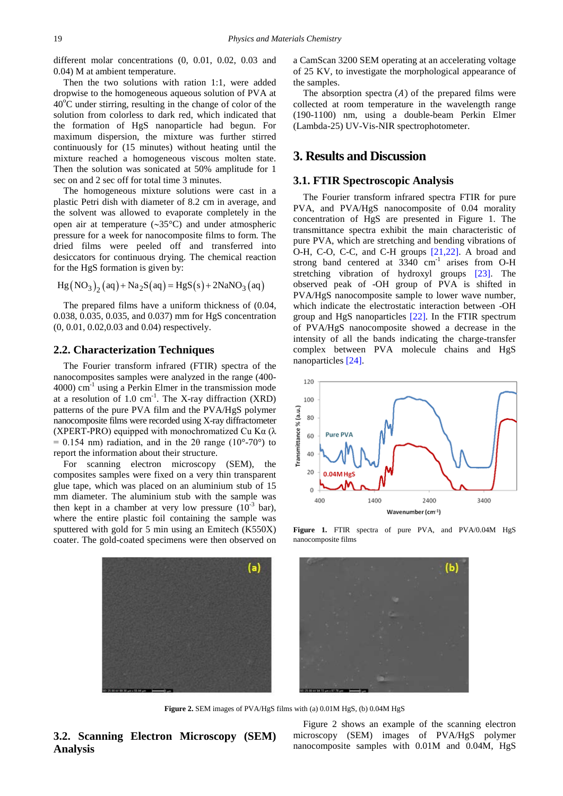different molar concentrations (0, 0.01, 0.02, 0.03 and 0.04) M at ambient temperature.

Then the two solutions with ration 1:1, were added dropwise to the homogeneous aqueous solution of PVA at  $40^{\circ}$ C under stirring, resulting in the change of color of the solution from colorless to dark red, which indicated that the formation of HgS nanoparticle had begun. For maximum dispersion, the mixture was further stirred continuously for (15 minutes) without heating until the mixture reached a homogeneous viscous molten state. Then the solution was sonicated at 50% amplitude for 1 sec on and 2 sec off for total time 3 minutes.

The homogeneous mixture solutions were cast in a plastic Petri dish with diameter of 8.2 cm in average, and the solvent was allowed to evaporate completely in the open air at temperature (∼35°C) and under atmospheric pressure for a week for nanocomposite films to form. The dried films were peeled off and transferred into desiccators for continuous drying. The chemical reaction for the HgS formation is given by:

$$
Hg (NO3)2 (aq) + Na2S (aq) = HgS (s) + 2NaNO3 (aq)
$$

The prepared films have a uniform thickness of (0.04, 0.038, 0.035, 0.035, and 0.037) mm for HgS concentration (0, 0.01, 0.02,0.03 and 0.04) respectively.

#### **2.2. Characterization Techniques**

The Fourier transform infrared (FTIR) spectra of the nanocomposites samples were analyzed in the range (400- 4000) cm-1 using a Perkin Elmer in the transmission mode at a resolution of  $1.0 \text{ cm}^{-1}$ . The X-ray diffraction (XRD) patterns of the pure PVA film and the PVA/HgS polymer nanocomposite films were recorded using X-ray diffractometer (XPERT-PRO) equipped with monochromatized Cu K $\alpha$  ( $\lambda$ )  $= 0.154$  nm) radiation, and in the 2 $\theta$  range (10°-70°) to report the information about their structure.

For scanning electron microscopy (SEM), the composites samples were fixed on a very thin transparent glue tape, which was placed on an aluminium stub of 15 mm diameter. The aluminium stub with the sample was then kept in a chamber at very low pressure  $(10^{-3}$  bar), where the entire plastic foil containing the sample was sputtered with gold for 5 min using an Emitech (K550X) coater. The gold-coated specimens were then observed on a CamScan 3200 SEM operating at an accelerating voltage of 25 KV, to investigate the morphological appearance of the samples.

The absorption spectra  $(A)$  of the prepared films were collected at room temperature in the wavelength range (190-1100) nm, using a double-beam Perkin Elmer (Lambda-25) UV-Vis-NIR spectrophotometer.

## **3. Results and Discussion**

#### **3.1. FTIR Spectroscopic Analysis**

The Fourier transform infrared spectra FTIR for pure PVA, and PVA/HgS nanocomposite of 0.04 morality concentration of HgS are presented in Figure 1. The transmittance spectra exhibit the main characteristic of pure PVA, which are stretching and bending vibrations of O-H, C-O, C-C, and C-H groups [\[21,22\].](#page-6-7) A broad and strong band centered at  $3340 \text{ cm}^{-1}$  arises from O-H stretching vibration of hydroxyl groups [\[23\].](#page-6-8) The observed peak of -OH group of PVA is shifted in PVA/HgS nanocomposite sample to lower wave number, which indicate the electrostatic interaction between -OH group and HgS nanoparticles [\[22\].](#page-6-9) In the FTIR spectrum of PVA/HgS nanocomposite showed a decrease in the intensity of all the bands indicating the charge-transfer complex between PVA molecule chains and HgS nanoparticles [\[24\].](#page-6-10)



Figure 1. FTIR spectra of pure PVA, and PVA/0.04M HgS nanocomposite films



**Figure 2.** SEM images of PVA/HgS films with (a) 0.01M HgS, (b) 0.04M HgS

 $(a)$ 

**3.2. Scanning Electron Microscopy (SEM) Analysis**

Figure 2 shows an example of the scanning electron microscopy (SEM) images of PVA/HgS polymer nanocomposite samples with 0.01M and 0.04M, HgS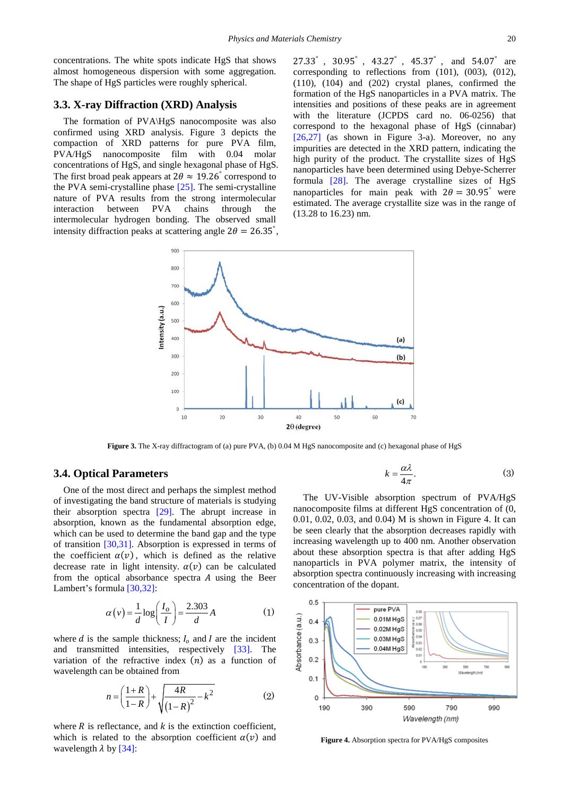concentrations. The white spots indicate HgS that shows almost homogeneous dispersion with some aggregation. The shape of HgS particles were roughly spherical.

#### **3.3. X-ray Diffraction (XRD) Analysis**

The formation of PVA\HgS nanocomposite was also confirmed using XRD analysis. Figure 3 depicts the compaction of XRD patterns for pure PVA film, PVA/HgS nanocomposite film with 0.04 molar concentrations of HgS, and single hexagonal phase of HgS. The first broad peak appears at  $2\theta \approx 19.26^{\circ}$  correspond to the PVA semi-crystalline phase [\[25\].](#page-6-11) The semi-crystalline nature of PVA results from the strong intermolecular interaction between PVA chains through the intermolecular hydrogen bonding. The observed small intensity diffraction peaks at scattering angle  $2\theta = 26.35^{\circ}$ , 27.33° , 30.95° , 43.27° , 45.37° , and 54.07° are corresponding to reflections from (101), (003), (012), (110), (104) and (202) crystal planes, confirmed the formation of the HgS nanoparticles in a PVA matrix. The intensities and positions of these peaks are in agreement with the literature (JCPDS card no. 06-0256) that correspond to the hexagonal phase of HgS (cinnabar) [\[26,27\]](#page-6-12) (as shown in Figure 3-a). Moreover, no any impurities are detected in the XRD pattern, indicating the high purity of the product. The crystallite sizes of HgS nanoparticles have been determined using Debye-Scherrer formula [\[28\].](#page-6-13) The average crystalline sizes of HgS nanoparticles for main peak with  $2\theta = 30.95^{\circ}$  were estimated. The average crystallite size was in the range of (13.28 to 16.23) nm.



**Figure 3.** The X-ray diffractogram of (a) pure PVA, (b) 0.04 M HgS nanocomposite and (c) hexagonal phase of HgS

#### **3.4. Optical Parameters**

One of the most direct and perhaps the simplest method of investigating the band structure of materials is studying their absorption spectra [\[29\].](#page-6-14) The abrupt increase in absorption, known as the fundamental absorption edge, which can be used to determine the band gap and the type of transition [\[30,31\].](#page-6-15) Absorption is expressed in terms of the coefficient  $\alpha(v)$ , which is defined as the relative decrease rate in light intensity.  $\alpha(v)$  can be calculated from the optical absorbance spectra  $A$  using the Beer Lambert's formula [\[30,32\]:](#page-6-15)

$$
\alpha(v) = \frac{1}{d} \log \left( \frac{I_o}{I} \right) = \frac{2.303}{d} A \tag{1}
$$

where  $d$  is the sample thickness;  $I_0$  and  $I$  are the incident and transmitted intensities, respectively [\[33\].](#page-6-16) The variation of the refractive index  $(n)$  as a function of wavelength can be obtained from

$$
n = \left(\frac{1+R}{1-R}\right) + \sqrt{\frac{4R}{(1-R)^2} - k^2}
$$
 (2)

where  $R$  is reflectance, and  $k$  is the extinction coefficient, which is related to the absorption coefficient  $\alpha(v)$  and wavelength  $\lambda$  b[y \[34\]:](#page-6-17)

$$
k = \frac{\alpha \lambda}{4\pi}.
$$
 (3)

The UV-Visible absorption spectrum of PVA/HgS nanocomposite films at different HgS concentration of (0, 0.01, 0.02, 0.03, and 0.04) M is shown in Figure 4. It can be seen clearly that the absorption decreases rapidly with increasing wavelength up to 400 nm. Another observation about these absorption spectra is that after adding HgS nanoparticls in PVA polymer matrix, the intensity of absorption spectra continuously increasing with increasing concentration of the dopant.



**Figure 4.** Absorption spectra for PVA/HgS composites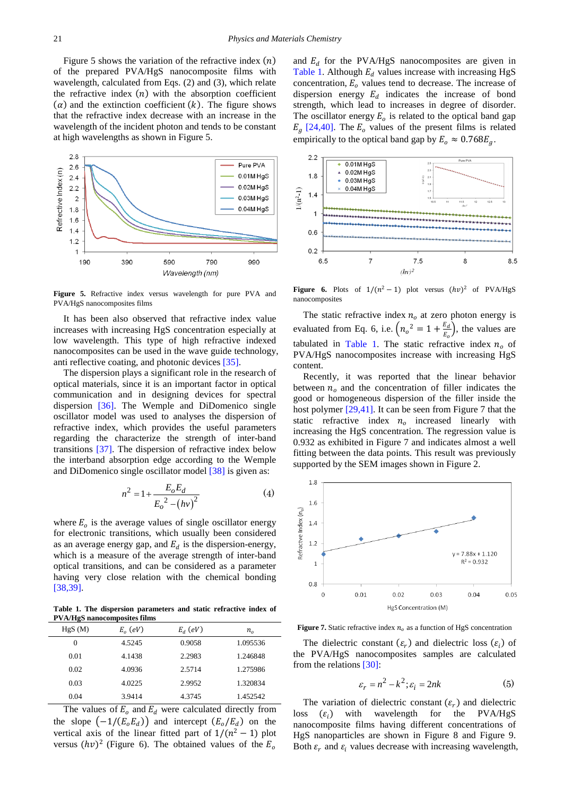Figure 5 shows the variation of the refractive index  $(n)$ of the prepared PVA/HgS nanocomposite films with wavelength, calculated from Eqs. (2) and (3), which relate the refractive index  $(n)$  with the absorption coefficient  $(\alpha)$  and the extinction coefficient  $(k)$ . The figure shows that the refractive index decrease with an increase in the wavelength of the incident photon and tends to be constant at high wavelengths as shown in Figure 5.



**Figure 5.** Refractive index versus wavelength for pure PVA and PVA/HgS nanocomposites films

It has been also observed that refractive index value increases with increasing HgS concentration especially at low wavelength. This type of high refractive indexed nanocomposites can be used in the wave guide technology, anti reflective coating, and photonic devices [\[35\].](#page-6-18)

The dispersion plays a significant role in the research of optical materials, since it is an important factor in optical communication and in designing devices for spectral dispersion [\[36\].](#page-6-19) The Wemple and DiDomenico single oscillator model was used to analyses the dispersion of refractive index, which provides the useful parameters regarding the characterize the strength of inter-band transitions [\[37\].](#page-6-20) The dispersion of refractive index below the interband absorption edge according to the Wemple and DiDomenico single oscillator model [\[38\]](#page-6-21) is given as:

$$
n^{2} = 1 + \frac{E_{o}E_{d}}{E_{o}^{2} - (hv)^{2}}
$$
 (4)

where  $E<sub>o</sub>$  is the average values of single oscillator energy for electronic transitions, which usually been considered as an average energy gap, and  $E_d$  is the dispersion-energy, which is a measure of the average strength of inter-band optical transitions, and can be considered as a parameter having very close relation with the chemical bonding [\[38,39\].](#page-6-21)

**Table 1. The dispersion parameters and static refractive index of PVA/HgS nanocomposites films**

<span id="page-3-0"></span>

| HgS(M)   | $E_{\alpha}$ (eV) | $E_d$ (eV) | $n_{o}$  |
|----------|-------------------|------------|----------|
| $\Omega$ | 4.5245            | 0.9058     | 1.095536 |
| 0.01     | 4.1438            | 2.2983     | 1.246848 |
| 0.02     | 4.0936            | 2.5714     | 1.275986 |
| 0.03     | 4.0225            | 2.9952     | 1.320834 |
| 0.04     | 3.9414            | 4.3745     | 1.452542 |

The values of  $E_0$  and  $E_d$  were calculated directly from the slope  $\left(\frac{-1}{E_o E_d}\right)$  and intercept  $\left(E_o / E_d\right)$  on the vertical axis of the linear fitted part of  $1/(n^2 - 1)$  plot versus  $(hv)^2$  (Figure 6). The obtained values of the  $E_0$ 

and  $E_d$  for the PVA/HgS nanocomposites are given in [Table 1.](#page-3-0) Although  $E_d$  values increase with increasing HgS concentration,  $E<sub>o</sub>$  values tend to decrease. The increase of dispersion energy  $E_d$  indicates the increase of bond strength, which lead to increases in degree of disorder. The oscillator energy  $E<sub>o</sub>$  is related to the optical band gap  $E<sub>g</sub>$  [\[24,40\].](#page-6-10) The  $E<sub>o</sub>$  values of the present films is related empirically to the optical band gap by  $E_0 \approx 0.768 E_a$ .



**Figure 6.** Plots of  $1/(n^2 - 1)$  plot versus  $(hv)^2$  of PVA/HgS nanocomposites

The static refractive index  $n<sub>o</sub>$  at zero photon energy is evaluated from Eq. 6, i.e.  $\left(n_o^2 = 1 + \frac{E_d}{E_o}\right)$ , the values are tabulated in [Table 1.](#page-3-0) The static refractive index  $n<sub>o</sub>$  of PVA/HgS nanocomposites increase with increasing HgS content.

Recently, it was reported that the linear behavior between  $n<sub>o</sub>$  and the concentration of filler indicates the good or homogeneous dispersion of the filler inside the host polymer [\[29,41\].](#page-6-14) It can be seen from Figure 7 that the static refractive index  $n<sub>o</sub>$  increased linearly with increasing the HgS concentration. The regression value is 0.932 as exhibited in Figure 7 and indicates almost a well fitting between the data points. This result was previously supported by the SEM images shown in Figure 2.



**Figure 7.** Static refractive index  $n<sub>o</sub>$  as a function of HgS concentration

The dielectric constant  $(\varepsilon_r)$  and dielectric loss  $(\varepsilon_i)$  of the PVA/HgS nanocomposites samples are calculated from the relations [\[30\]:](#page-6-15)

$$
\varepsilon_r = n^2 - k^2; \varepsilon_i = 2nk \tag{5}
$$

The variation of dielectric constant  $(\varepsilon_r)$  and dielectric loss  $(\varepsilon_i)$  with wavelength for the PVA/HgS wavelength nanocomposite films having different concentrations of HgS nanoparticles are shown in Figure 8 and Figure 9. Both  $\varepsilon_r$  and  $\varepsilon_i$  values decrease with increasing wavelength,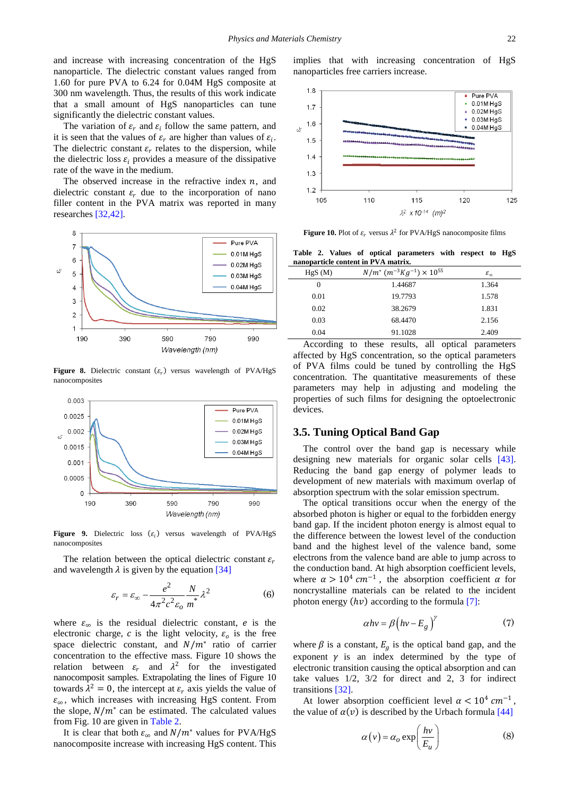and increase with increasing concentration of the HgS nanoparticle. The dielectric constant values ranged from 1.60 for pure PVA to 6.24 for 0.04M HgS composite at 300 nm wavelength. Thus, the results of this work indicate that a small amount of HgS nanoparticles can tune significantly the dielectric constant values.

The variation of  $\varepsilon_r$  and  $\varepsilon_i$  follow the same pattern, and it is seen that the values of  $\varepsilon_r$  are higher than values of  $\varepsilon_i$ . The dielectric constant  $\varepsilon_r$  relates to the dispersion, while the dielectric loss  $\varepsilon_i$  provides a measure of the dissipative rate of the wave in the medium.

The observed increase in the refractive index  $n$ , and dielectric constant  $\varepsilon_r$  due to the incorporation of nano filler content in the PVA matrix was reported in many researches [\[32,42\].](#page-6-22)



**Figure 8.** Dielectric constant  $(\varepsilon_r)$  versus wavelength of PVA/HgS nanocomposites



**Figure 9.** Dielectric loss  $(\varepsilon_i)$  versus wavelength of PVA/HgS nanocomposites

The relation between the optical dielectric constant  $\varepsilon_r$ and wavelength  $\lambda$  is given by the equation [\[34\]](#page-6-17)

$$
\varepsilon_r = \varepsilon_\infty - \frac{e^2}{4\pi^2 c^2 \varepsilon_o} \frac{N}{m^*} \lambda^2
$$
 (6)

where  $\varepsilon_{\infty}$  is the residual dielectric constant, *e* is the electronic charge, c is the light velocity,  $\varepsilon_0$  is the free space dielectric constant, and  $N/m^*$  ratio of carrier concentration to the effective mass. Figure 10 shows the relation between  $\varepsilon_r$  and  $\lambda^2$  for the investigated nanocomposit samples. Extrapolating the lines of Figure 10 towards  $\lambda^2 = 0$ , the intercept at  $\varepsilon_r$  axis yields the value of  $\varepsilon_{\infty}$ , which increases with increasing HgS content. From the slope,  $N/m^*$  can be estimated. The calculated values from Fig. 10 are given in [Table 2.](#page-4-0)

It is clear that both  $\varepsilon_{\infty}$  and  $N/m^*$  values for PVA/HgS nanocomposite increase with increasing HgS content. This implies that with increasing concentration of HgS nanoparticles free carriers increase.



**Figure 10.** Plot of  $\varepsilon_r$  versus  $\lambda^2$  for PVA/HgS nanocomposite films

**Table 2. Values of optical parameters with respect to HgS nanoparticle content in PVA matrix.** 

<span id="page-4-0"></span>

| HgS(M)   | $N/m^*$ $(m^{-3}Kg^{-1}) \times 10^{55}$ | $\varepsilon_{\infty}$ |
|----------|------------------------------------------|------------------------|
| $\Omega$ | 1.44687                                  | 1.364                  |
| 0.01     | 19.7793                                  | 1.578                  |
| 0.02     | 38.2679                                  | 1.831                  |
| 0.03     | 68.4470                                  | 2.156                  |
| 0.04     | 91.1028                                  | 2.409                  |
|          |                                          |                        |

According to these results, all optical parameters affected by HgS concentration, so the optical parameters of PVA films could be tuned by controlling the HgS concentration. The quantitative measurements of these parameters may help in adjusting and modeling the properties of such films for designing the optoelectronic devices.

#### **3.5. Tuning Optical Band Gap**

The control over the band gap is necessary while designing new materials for organic solar cells [\[43\].](#page-6-23) Reducing the band gap energy of polymer leads to development of new materials with maximum overlap of absorption spectrum with the solar emission spectrum.

The optical transitions occur when the energy of the absorbed photon is higher or equal to the forbidden energy band gap. If the incident photon energy is almost equal to the difference between the lowest level of the conduction band and the highest level of the valence band, some electrons from the valence band are able to jump across to the conduction band. At high absorption coefficient levels, where  $\alpha > 10^4$  cm<sup>-1</sup>, the absorption coefficient  $\alpha$  for noncrystalline materials can be related to the incident photon energy  $(hv)$  according to the formula [\[7\]:](#page-5-5)

$$
\alpha h v = \beta \left( h v - E_g \right)^{\gamma} \tag{7}
$$

where  $\beta$  is a constant,  $E_q$  is the optical band gap, and the exponent  $\gamma$  is an index determined by the type of electronic transition causing the optical absorption and can take values 1/2, 3/2 for direct and 2, 3 for indirect transitions [\[32\].](#page-6-22)

At lower absorption coefficient level  $\alpha < 10^4$  cm<sup>-1</sup>. the value of  $\alpha(v)$  is described by the Urbach formula [\[44\]](#page-6-24)

$$
\alpha(v) = \alpha_o \exp\left(\frac{hv}{E_u}\right) \tag{8}
$$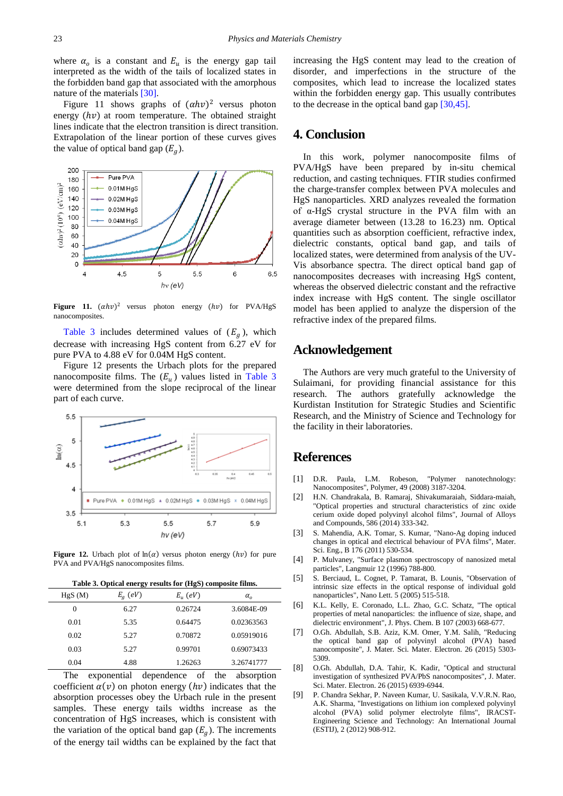where  $\alpha_o$  is a constant and  $E_u$  is the energy gap tail interpreted as the width of the tails of localized states in the forbidden band gap that associated with the amorphous nature of the materials [\[30\].](#page-6-15)

Figure 11 shows graphs of  $(\alpha h v)^2$  versus photon energy  $(hv)$  at room temperature. The obtained straight lines indicate that the electron transition is direct transition. Extrapolation of the linear portion of these curves gives the value of optical band gap  $(E_a)$ .



**Figure 11.**  $(\alpha h v)^2$  versus photon energy  $(hv)$  for PVA/HgS nanocomposites.

[Table 3](#page-5-8) includes determined values of  $(E_a)$ , which decrease with increasing HgS content from 6.27 eV for pure PVA to 4.88 eV for 0.04M HgS content.

Figure 12 presents the Urbach plots for the prepared nanocomposite films. The  $(E_u)$  values listed in [Table 3](#page-5-8) were determined from the slope reciprocal of the linear part of each curve.



**Figure 12.** Urbach plot of  $ln(a)$  versus photon energy  $(hv)$  for pure PVA and PVA/HgS nanocomposites films.

**Table 3. Optical energy results for (HgS) composite films.**

<span id="page-5-8"></span>

| HgS(M) | $E_g$ (eV) | $E_n$ (eV) | $\alpha_{\alpha}$ |
|--------|------------|------------|-------------------|
| 0      | 6.27       | 0.26724    | 3.6084E-09        |
| 0.01   | 5.35       | 0.64475    | 0.02363563        |
| 0.02   | 5.27       | 0.70872    | 0.05919016        |
| 0.03   | 5.27       | 0.99701    | 0.69073433        |
| 0.04   | 4.88       | 1.26263    | 3.26741777        |
|        |            |            |                   |

The exponential dependence of the absorption coefficient  $\alpha(v)$  on photon energy ( $hv$ ) indicates that the absorption processes obey the Urbach rule in the present samples. These energy tails widths increase as the concentration of HgS increases, which is consistent with the variation of the optical band gap  $(E_a)$ . The increments of the energy tail widths can be explained by the fact that increasing the HgS content may lead to the creation of disorder, and imperfections in the structure of the composites, which lead to increase the localized states within the forbidden energy gap. This usually contributes to the decrease in the optical band ga[p \[30,45\].](#page-6-15)

## **4. Conclusion**

In this work, polymer nanocomposite films of PVA/HgS have been prepared by in-situ chemical reduction, and casting techniques. FTIR studies confirmed the charge-transfer complex between PVA molecules and HgS nanoparticles. XRD analyzes revealed the formation of α-HgS crystal structure in the PVA film with an average diameter between (13.28 to 16.23) nm. Optical quantities such as absorption coefficient, refractive index, dielectric constants, optical band gap, and tails of localized states, were determined from analysis of the UV-Vis absorbance spectra. The direct optical band gap of nanocomposites decreases with increasing HgS content, whereas the observed dielectric constant and the refractive index increase with HgS content. The single oscillator model has been applied to analyze the dispersion of the refractive index of the prepared films.

## **Acknowledgement**

The Authors are very much grateful to the University of Sulaimani, for providing financial assistance for this research. The authors gratefully acknowledge the Kurdistan Institution for Strategic Studies and Scientific Research, and the Ministry of Science and Technology for the facility in their laboratories.

### **References**

- <span id="page-5-0"></span>[1] D.R. Paula, L.M. Robeson, "Polymer nanotechnology: Nanocomposites", Polymer, 49 (2008) 3187-3204.
- <span id="page-5-1"></span>[2] H.N. Chandrakala, B. Ramaraj, Shivakumaraiah, Siddara-maiah, "Optical properties and structural characteristics of zinc oxide cerium oxide doped polyvinyl alcohol films", Journal of Alloys and Compounds, 586 (2014) 333-342.
- [3] S. Mahendia, A.K. Tomar, S. Kumar, "Nano-Ag doping induced changes in optical and electrical behaviour of PVA films", Mater. Sci. Eng., B 176 (2011) 530-534.
- <span id="page-5-2"></span>[4] P. Mulvaney, "Surface plasmon spectroscopy of nanosized metal particles", Langmuir 12 (1996) 788-800.
- <span id="page-5-3"></span>[5] S. Berciaud, L. Cognet, P. Tamarat, B. Lounis, "Observation of intrinsic size effects in the optical response of individual gold nanoparticles", Nano Lett. 5 (2005) 515-518.
- <span id="page-5-4"></span>[6] K.L. Kelly, E. Coronado, L.L. Zhao, G.C. Schatz, "The optical properties of metal nanoparticles: the influence of size, shape, and dielectric environment", J. Phys. Chem. B 107 (2003) 668-677.
- <span id="page-5-5"></span>[7] O.Gh. Abdullah, S.B. Aziz, K.M. Omer, Y.M. Salih, "Reducing the optical band gap of polyvinyl alcohol (PVA) based nanocomposite", J. Mater. Sci. Mater. Electron. 26 (2015) 5303- 5309.
- <span id="page-5-6"></span>[8] O.Gh. Abdullah, D.A. Tahir, K. Kadir, "Optical and structural investigation of synthesized PVA/PbS nanocomposites", J. Mater. Sci. Mater. Electron. 26 (2015) 6939-6944.
- <span id="page-5-7"></span>[9] P. Chandra Sekhar, P. Naveen Kumar, U. Sasikala, V.V.R.N. Rao, A.K. Sharma, "Investigations on lithium ion complexed polyvinyl alcohol (PVA) solid polymer electrolyte films", IRACST-Engineering Science and Technology: An International Journal (ESTIJ), 2 (2012) 908-912.